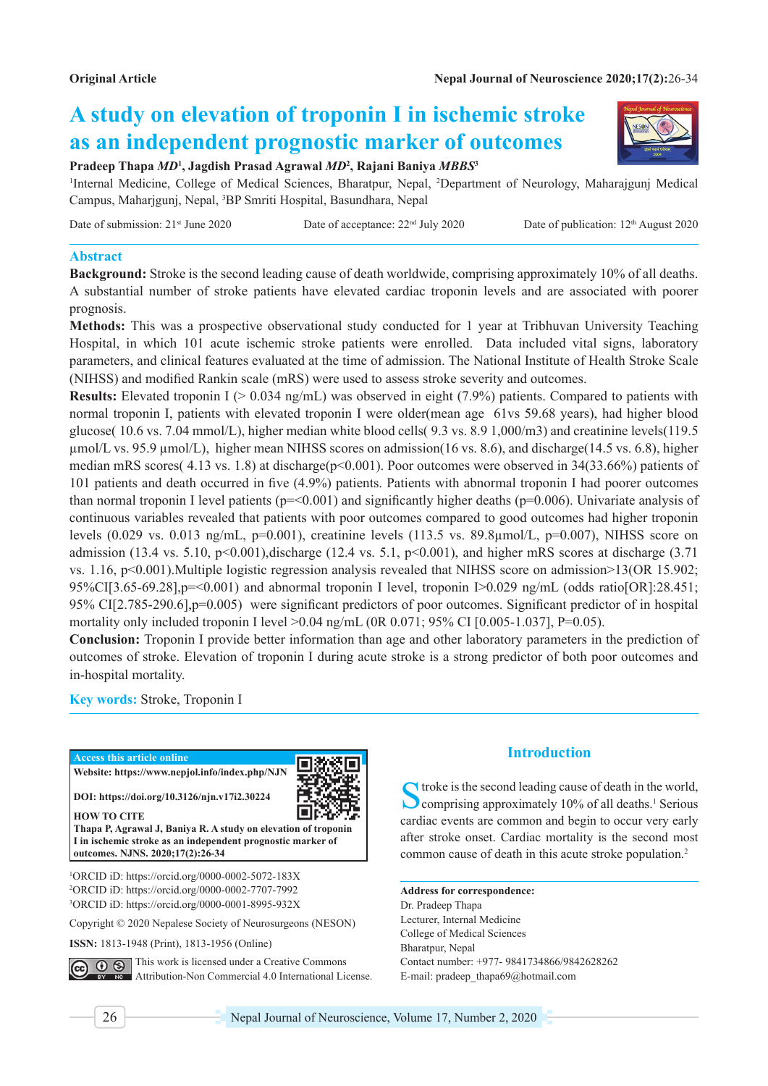# **A study on elevation of troponin I in ischemic stroke as an independent prognostic marker of outcomes**

**Pradeep Thapa** *MD***<sup>1</sup> , Jagdish Prasad Agrawal** *MD***<sup>2</sup> , Rajani Baniya** *MBBS***<sup>3</sup>**

<sup>1</sup>Internal Medicine, College of Medical Sciences, Bharatpur, Nepal, <sup>2</sup>Department of Neurology, Maharajgunj Medical Campus, Maharjgunj, Nepal, 3 BP Smriti Hospital, Basundhara, Nepal

Date of submission:  $21^{st}$  June 2020 Date of acceptance:  $22^{nd}$  July 2020 Date of publication:  $12^{th}$  August 2020

### **Abstract**

**Background:** Stroke is the second leading cause of death worldwide, comprising approximately 10% of all deaths. A substantial number of stroke patients have elevated cardiac troponin levels and are associated with poorer prognosis.

**Methods:** This was a prospective observational study conducted for 1 year at Tribhuvan University Teaching Hospital, in which 101 acute ischemic stroke patients were enrolled. Data included vital signs, laboratory parameters, and clinical features evaluated at the time of admission. The National Institute of Health Stroke Scale (NIHSS) and modified Rankin scale (mRS) were used to assess stroke severity and outcomes.

**Results:** Elevated troponin I (> 0.034 ng/mL) was observed in eight (7.9%) patients. Compared to patients with normal troponin I, patients with elevated troponin I were older(mean age 61vs 59.68 years), had higher blood glucose( 10.6 vs. 7.04 mmol/L), higher median white blood cells( 9.3 vs. 8.9 1,000/m3) and creatinine levels(119.5  $\mu$ mol/L vs. 95.9  $\mu$ mol/L), higher mean NIHSS scores on admission(16 vs. 8.6), and discharge(14.5 vs. 6.8), higher median mRS scores( 4.13 vs. 1.8) at discharge(p<0.001). Poor outcomes were observed in 34(33.66%) patients of 101 patients and death occurred in five (4.9%) patients. Patients with abnormal troponin I had poorer outcomes than normal troponin I level patients ( $p = 0.001$ ) and significantly higher deaths ( $p = 0.006$ ). Univariate analysis of continuous variables revealed that patients with poor outcomes compared to good outcomes had higher troponin levels (0.029 vs. 0.013 ng/mL, p=0.001), creatinine levels (113.5 vs. 89.8µmol/L, p=0.007), NIHSS score on admission (13.4 vs. 5.10, p<0.001),discharge (12.4 vs. 5.1, p<0.001), and higher mRS scores at discharge (3.71 vs. 1.16, p<0.001).Multiple logistic regression analysis revealed that NIHSS score on admission>13(OR 15.902; 95%CI[3.65-69.28],p=<0.001) and abnormal troponin I level, troponin I>0.029 ng/mL (odds ratio[OR]:28.451; 95% CI[2.785-290.6],p=0.005) were significant predictors of poor outcomes. Significant predictor of in hospital mortality only included troponin I level >0.04 ng/mL (0R 0.071; 95% CI [0.005-1.037], P=0.05).

**Conclusion:** Troponin I provide better information than age and other laboratory parameters in the prediction of outcomes of stroke. Elevation of troponin I during acute stroke is a strong predictor of both poor outcomes and in-hospital mortality.

**Key words:** Stroke, Troponin I

## **Access this article online**

**Website: https://www.nepjol.info/index.php/NJN**

**DOI: https://doi.org/10.3126/njn.v17i2.30224**



**HOW TO CITE**

**Thapa P, Agrawal J, Baniya R. A study on elevation of troponin I in ischemic stroke as an independent prognostic marker of outcomes. NJNS. 2020;17(2):26-34**

1 ORCID iD: https://orcid.org/0000-0002-5072-183X 2 ORCID iD: https://orcid.org/0000-0002-7707-7992 3 ORCID iD: https://orcid.org/0000-0001-8995-932X

Copyright © 2020 Nepalese Society of Neurosurgeons (NESON)

**ISSN:** 1813-1948 (Print), 1813-1956 (Online)

This work is licensed under a Creative Commons  $0$ Attribution-Non Commercial 4.0 International License.

## **Introduction**

Stroke is the second leading cause of death in the world,<br>
comprising approximately 10% of all deaths.<sup>1</sup> Serious cardiac events are common and begin to occur very early after stroke onset. Cardiac mortality is the second most common cause of death in this acute stroke population.2

**Address for correspondence:** Dr. Pradeep Thapa

Lecturer, Internal Medicine College of Medical Sciences Bharatpur, Nepal Contact number: +977- 9841734866/9842628262 E-mail: pradeep\_thapa69@hotmail.com

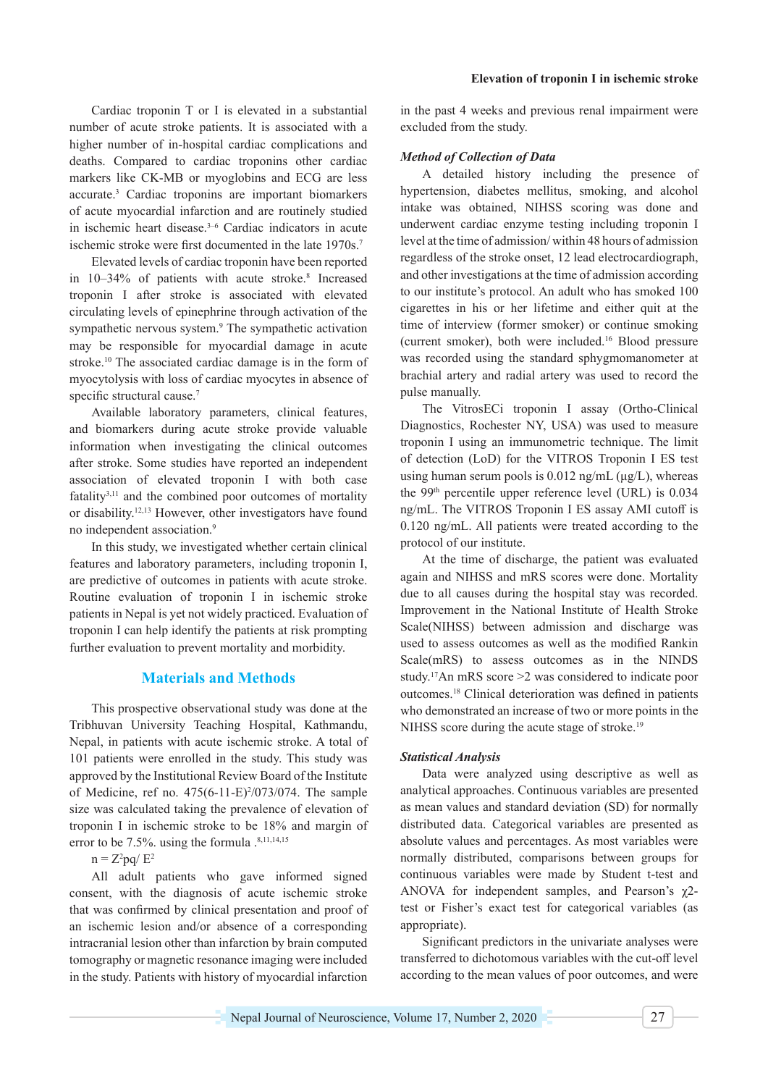Cardiac troponin T or I is elevated in a substantial number of acute stroke patients. It is associated with a higher number of in-hospital cardiac complications and deaths. Compared to cardiac troponins other cardiac markers like CK-MB or myoglobins and ECG are less accurate.3 Cardiac troponins are important biomarkers of acute myocardial infarction and are routinely studied in ischemic heart disease. $3-6$  Cardiac indicators in acute ischemic stroke were first documented in the late 1970s.<sup>7</sup>

Elevated levels of cardiac troponin have been reported in 10-34% of patients with acute stroke.<sup>8</sup> Increased troponin I after stroke is associated with elevated circulating levels of epinephrine through activation of the sympathetic nervous system.<sup>9</sup> The sympathetic activation may be responsible for myocardial damage in acute stroke.10 The associated cardiac damage is in the form of myocytolysis with loss of cardiac myocytes in absence of specific structural cause.<sup>7</sup>

Available laboratory parameters, clinical features, and biomarkers during acute stroke provide valuable information when investigating the clinical outcomes after stroke. Some studies have reported an independent association of elevated troponin I with both case fatality3,11 and the combined poor outcomes of mortality or disability.12,13 However, other investigators have found no independent association.9

In this study, we investigated whether certain clinical features and laboratory parameters, including troponin I, are predictive of outcomes in patients with acute stroke. Routine evaluation of troponin I in ischemic stroke patients in Nepal is yet not widely practiced. Evaluation of troponin I can help identify the patients at risk prompting further evaluation to prevent mortality and morbidity.

# **Materials and Methods**

This prospective observational study was done at the Tribhuvan University Teaching Hospital, Kathmandu, Nepal, in patients with acute ischemic stroke. A total of 101 patients were enrolled in the study. This study was approved by the Institutional Review Board of the Institute of Medicine, ref no. 475(6-11-E)<sup>2</sup>/073/074. The sample size was calculated taking the prevalence of elevation of troponin I in ischemic stroke to be 18% and margin of error to be 7.5%. using the formula  $.^{8,11,14,15}$ 

 $n = Z^2 pq/E^2$ 

All adult patients who gave informed signed consent, with the diagnosis of acute ischemic stroke that was confirmed by clinical presentation and proof of an ischemic lesion and/or absence of a corresponding intracranial lesion other than infarction by brain computed tomography or magnetic resonance imaging were included in the study. Patients with history of myocardial infarction

in the past 4 weeks and previous renal impairment were excluded from the study.

#### *Method of Collection of Data*

A detailed history including the presence of hypertension, diabetes mellitus, smoking, and alcohol intake was obtained, NIHSS scoring was done and underwent cardiac enzyme testing including troponin I level at the time of admission/ within 48 hours of admission regardless of the stroke onset, 12 lead electrocardiograph, and other investigations at the time of admission according to our institute's protocol. An adult who has smoked 100 cigarettes in his or her lifetime and either quit at the time of interview (former smoker) or continue smoking (current smoker), both were included.16 Blood pressure was recorded using the standard sphygmomanometer at brachial artery and radial artery was used to record the pulse manually.

The VitrosECi troponin I assay (Ortho-Clinical Diagnostics, Rochester NY, USA) was used to measure troponin I using an immunometric technique. The limit of detection (LoD) for the VITROS Troponin I ES test using human serum pools is  $0.012$  ng/mL ( $\mu$ g/L), whereas the 99th percentile upper reference level (URL) is 0.034 ng/mL. The VITROS Troponin I ES assay AMI cutoff is 0.120 ng/mL. All patients were treated according to the protocol of our institute.

At the time of discharge, the patient was evaluated again and NIHSS and mRS scores were done. Mortality due to all causes during the hospital stay was recorded. Improvement in the National Institute of Health Stroke Scale(NIHSS) between admission and discharge was used to assess outcomes as well as the modified Rankin Scale(mRS) to assess outcomes as in the NINDS study.17An mRS score >2 was considered to indicate poor outcomes.18 Clinical deterioration was defined in patients who demonstrated an increase of two or more points in the NIHSS score during the acute stage of stroke.<sup>19</sup>

#### *Statistical Analysis*

Data were analyzed using descriptive as well as analytical approaches. Continuous variables are presented as mean values and standard deviation (SD) for normally distributed data. Categorical variables are presented as absolute values and percentages. As most variables were normally distributed, comparisons between groups for continuous variables were made by Student t-test and ANOVA for independent samples, and Pearson's χ2 test or Fisher's exact test for categorical variables (as appropriate).

Significant predictors in the univariate analyses were transferred to dichotomous variables with the cut-off level according to the mean values of poor outcomes, and were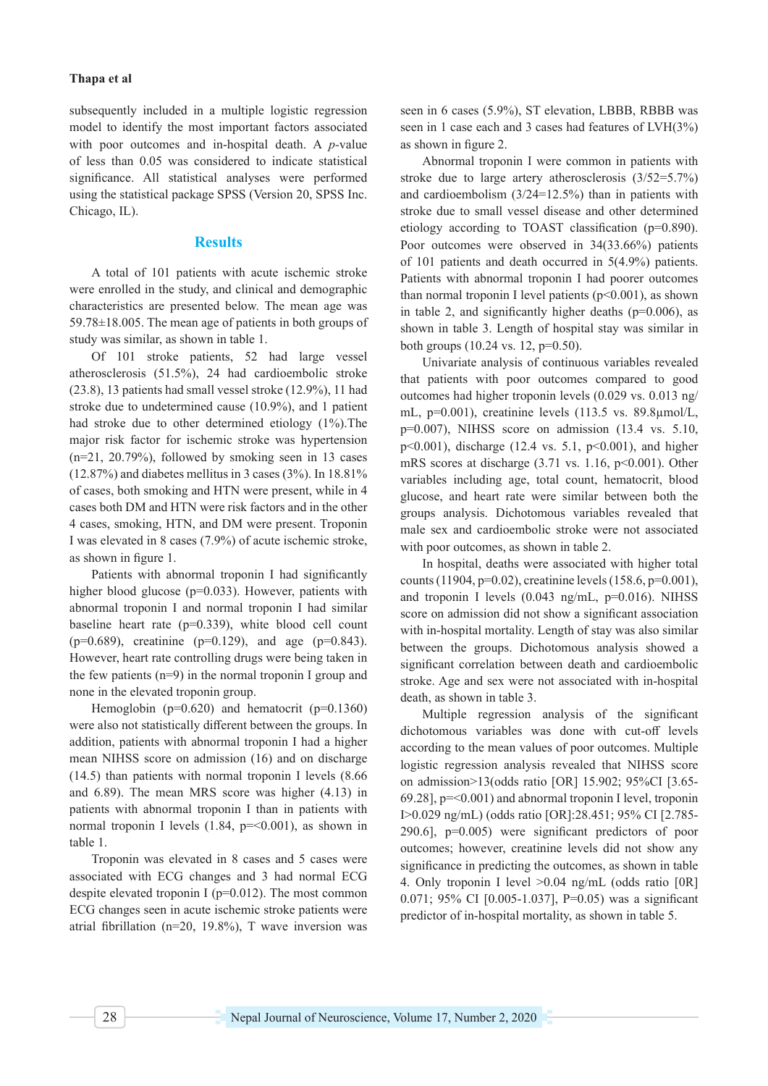subsequently included in a multiple logistic regression model to identify the most important factors associated with poor outcomes and in-hospital death. A *p-*value of less than 0.05 was considered to indicate statistical significance. All statistical analyses were performed using the statistical package SPSS (Version 20, SPSS Inc. Chicago, IL).

#### **Results**

A total of 101 patients with acute ischemic stroke were enrolled in the study, and clinical and demographic characteristics are presented below. The mean age was 59.78±18.005. The mean age of patients in both groups of study was similar, as shown in table 1.

Of 101 stroke patients, 52 had large vessel atherosclerosis (51.5%), 24 had cardioembolic stroke (23.8), 13 patients had small vessel stroke (12.9%), 11 had stroke due to undetermined cause (10.9%), and 1 patient had stroke due to other determined etiology (1%).The major risk factor for ischemic stroke was hypertension (n=21, 20.79%), followed by smoking seen in 13 cases  $(12.87\%)$  and diabetes mellitus in 3 cases  $(3\%)$ . In  $18.81\%$ of cases, both smoking and HTN were present, while in 4 cases both DM and HTN were risk factors and in the other 4 cases, smoking, HTN, and DM were present. Troponin I was elevated in 8 cases (7.9%) of acute ischemic stroke, as shown in figure 1.

Patients with abnormal troponin I had significantly higher blood glucose (p=0.033). However, patients with abnormal troponin I and normal troponin I had similar baseline heart rate  $(p=0.339)$ , white blood cell count ( $p=0.689$ ), creatinine ( $p=0.129$ ), and age ( $p=0.843$ ). However, heart rate controlling drugs were being taken in the few patients  $(n=9)$  in the normal troponin I group and none in the elevated troponin group.

Hemoglobin ( $p=0.620$ ) and hematocrit ( $p=0.1360$ ) were also not statistically different between the groups. In addition, patients with abnormal troponin I had a higher mean NIHSS score on admission (16) and on discharge (14.5) than patients with normal troponin I levels (8.66 and 6.89). The mean MRS score was higher (4.13) in patients with abnormal troponin I than in patients with normal troponin I levels  $(1.84, p=<0.001)$ , as shown in table 1.

Troponin was elevated in 8 cases and 5 cases were associated with ECG changes and 3 had normal ECG despite elevated troponin I ( $p=0.012$ ). The most common ECG changes seen in acute ischemic stroke patients were atrial fibrillation (n=20, 19.8%), T wave inversion was seen in 6 cases (5.9%), ST elevation, LBBB, RBBB was seen in 1 case each and 3 cases had features of LVH(3%) as shown in figure 2.

Abnormal troponin I were common in patients with stroke due to large artery atherosclerosis (3/52=5.7%) and cardioembolism (3/24=12.5%) than in patients with stroke due to small vessel disease and other determined etiology according to TOAST classification (p=0.890). Poor outcomes were observed in 34(33.66%) patients of 101 patients and death occurred in 5(4.9%) patients. Patients with abnormal troponin I had poorer outcomes than normal troponin I level patients ( $p<0.001$ ), as shown in table 2, and significantly higher deaths  $(p=0.006)$ , as shown in table 3. Length of hospital stay was similar in both groups (10.24 vs. 12, p=0.50).

Univariate analysis of continuous variables revealed that patients with poor outcomes compared to good outcomes had higher troponin levels (0.029 vs. 0.013 ng/ mL, p=0.001), creatinine levels (113.5 vs. 89.8µmol/L, p=0.007), NIHSS score on admission (13.4 vs. 5.10,  $p<0.001$ ), discharge (12.4 vs. 5.1,  $p<0.001$ ), and higher mRS scores at discharge  $(3.71 \text{ vs. } 1.16, \text{ p} < 0.001)$ . Other variables including age, total count, hematocrit, blood glucose, and heart rate were similar between both the groups analysis. Dichotomous variables revealed that male sex and cardioembolic stroke were not associated with poor outcomes, as shown in table 2.

In hospital, deaths were associated with higher total counts (11904, p=0.02), creatinine levels (158.6, p=0.001), and troponin I levels  $(0.043 \text{ ng/mL}, \text{p=0.016})$ . NIHSS score on admission did not show a significant association with in-hospital mortality. Length of stay was also similar between the groups. Dichotomous analysis showed a significant correlation between death and cardioembolic stroke. Age and sex were not associated with in-hospital death, as shown in table 3.

Multiple regression analysis of the significant dichotomous variables was done with cut-off levels according to the mean values of poor outcomes. Multiple logistic regression analysis revealed that NIHSS score on admission>13(odds ratio [OR] 15.902; 95%CI [3.65- 69.28],  $p = 0.001$  and abnormal troponin I level, troponin I>0.029 ng/mL) (odds ratio [OR]:28.451; 95% CI [2.785- 290.6], p=0.005) were significant predictors of poor outcomes; however, creatinine levels did not show any significance in predicting the outcomes, as shown in table 4. Only troponin I level >0.04 ng/mL (odds ratio [0R] 0.071; 95% CI [0.005-1.037], P=0.05) was a significant predictor of in-hospital mortality, as shown in table 5.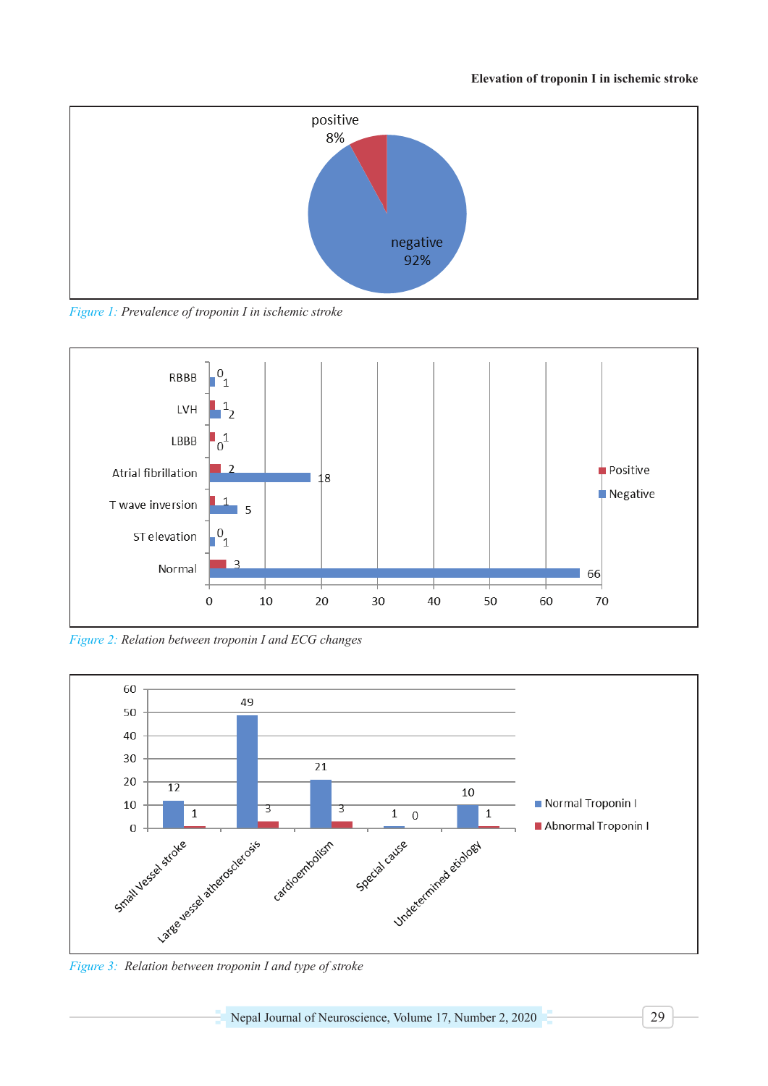## **Elevation of troponin I in ischemic stroke**



*Figure 1: Prevalence of troponin I in ischemic stroke*



*Figure 2: Relation between troponin I and ECG changes*

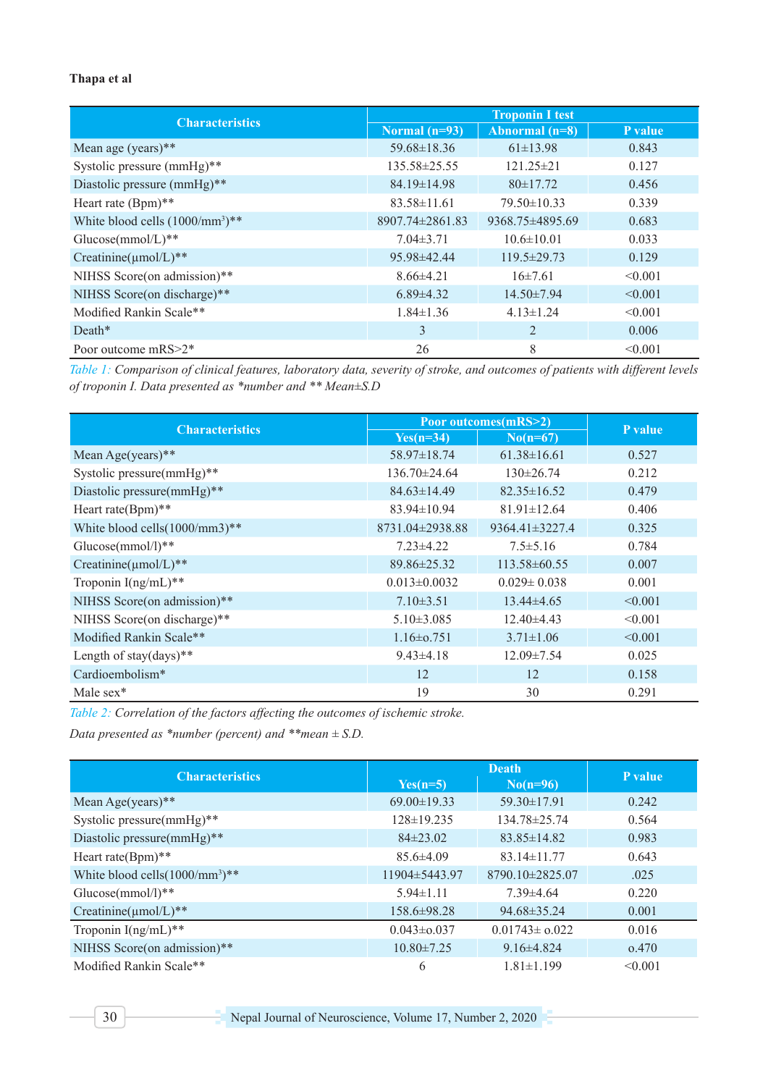|                                             | <b>Troponin I test</b> |                   |         |  |  |  |
|---------------------------------------------|------------------------|-------------------|---------|--|--|--|
| <b>Characteristics</b>                      | Normal $(n=93)$        | Abnormal $(n=8)$  | P value |  |  |  |
| Mean age (years)**                          | $59.68 \pm 18.36$      | $61 \pm 13.98$    | 0.843   |  |  |  |
| Systolic pressure (mmHg)**                  | $135.58 \pm 25.55$     | $121.25 \pm 21$   | 0.127   |  |  |  |
| Diastolic pressure (mmHg)**                 | $84.19 \pm 14.98$      | $80 \pm 17.72$    | 0.456   |  |  |  |
| Heart rate (Bpm)**                          | $83.58\pm11.61$        | $79.50 \pm 10.33$ | 0.339   |  |  |  |
| White blood cells (1000/mm <sup>3</sup> )** | 8907.74±2861.83        | 9368.75±4895.69   | 0.683   |  |  |  |
| Glucose(mmol/L)**                           | $7.04 \pm 3.71$        | $10.6 \pm 10.01$  | 0.033   |  |  |  |
| Creatinine( $\mu$ mol/L)**                  | $95.98 \pm 42.44$      | $119.5 \pm 29.73$ | 0.129   |  |  |  |
| NIHSS Score(on admission)**                 | $8.66\pm4.21$          | $16\pm7.61$       | < 0.001 |  |  |  |
| NIHSS Score(on discharge)**                 | $6.89{\pm}4.32$        | $14.50 \pm 7.94$  | < 0.001 |  |  |  |
| Modified Rankin Scale**                     | $1.84 \pm 1.36$        | $4.13 \pm 1.24$   | < 0.001 |  |  |  |
| $Death*$                                    | 3                      | 2                 | 0.006   |  |  |  |
| Poor outcome $mRS > 2^*$                    | 26                     | 8                 | < 0.001 |  |  |  |

*Table 1: Comparison of clinical features, laboratory data, severity of stroke, and outcomes of patients with different levels of troponin I. Data presented as \*number and \*\* Mean±S.D*

| <b>Characteristics</b>        | Poor outcomes(mRS>2) | P value              |         |
|-------------------------------|----------------------|----------------------|---------|
|                               | $Yes(n=34)$          | $No(n=67)$           |         |
| Mean Age(years)**             | $58.97 \pm 18.74$    | $61.38 \pm 16.61$    | 0.527   |
| Systolic pressure(mmHg)**     | $136.70 \pm 24.64$   | $130 \pm 26.74$      | 0.212   |
| Diastolic pressure(mmHg)**    | $84.63 \pm 14.49$    | $82.35 \pm 16.52$    | 0.479   |
| Heart rate(Bpm)**             | $83.94 \pm 10.94$    | $81.91 \pm 12.64$    | 0.406   |
| White blood cells(1000/mm3)** | 8731.04±2938.88      | $9364.41 \pm 3227.4$ | 0.325   |
| Glucose(mmol/l)**             | $7.23 \pm 4.22$      | $7.5 \pm 5.16$       | 0.784   |
| Creatinine( $\mu$ mol/L)**    | $89.86 \pm 25.32$    | $113.58\pm 60.55$    | 0.007   |
| Troponin $I(ng/mL)**$         | $0.013 \pm 0.0032$   | $0.029 \pm 0.038$    | 0.001   |
| NIHSS Score(on admission)**   | $7.10\pm3.51$        | $13.44\pm4.65$       | < 0.001 |
| NIHSS Score(on discharge)**   | $5.10 \pm 3.085$     | $12.40\pm4.43$       | < 0.001 |
| Modified Rankin Scale**       | $1.16 \pm 0.751$     | $3.71 \pm 1.06$      | < 0.001 |
| Length of stay(days)**        | $9.43 \pm 4.18$      | $12.09 \pm 7.54$     | 0.025   |
| Cardioembolism <sup>*</sup>   | 12                   | 12                   | 0.158   |
| Male sex*                     | 19                   | 30                   | 0.291   |

*Table 2: Correlation of the factors affecting the outcomes of ischemic stroke.*

*Data presented as \*number (percent) and \*\*mean ± S.D.*

| <b>Characteristics</b>                     |                   | P value             |         |  |
|--------------------------------------------|-------------------|---------------------|---------|--|
|                                            | $Yes(n=5)$        | $No(n=96)$          |         |  |
| Mean Age(years)**                          | $69.00 \pm 19.33$ | 59.30±17.91         | 0.242   |  |
| Systolic pressure(mmHg)**                  | $128 \pm 19.235$  | $134.78 \pm 25.74$  | 0.564   |  |
| Diastolic pressure(mmHg)**                 | $84\pm23.02$      | $83.85 \pm 14.82$   | 0.983   |  |
| Heart rate(Bpm)**                          | $85.6\pm4.09$     | 83.14±11.77         | 0.643   |  |
| White blood cells(1000/mm <sup>3</sup> )** | 11904±5443.97     | $8790.10\pm2825.07$ | .025    |  |
| Glucose(mmol/l)**                          | $5.94 \pm 1.11$   | $7.39\pm4.64$       | 0.220   |  |
| Creatinine( $\mu$ mol/L)**                 | $158.6\pm98.28$   | $94.68 \pm 35.24$   | 0.001   |  |
| Troponin $I(ng/mL)**$                      | $0.043 \pm 0.037$ | $0.01743 \pm 0.022$ | 0.016   |  |
| NIHSS Score(on admission)**                | $10.80 \pm 7.25$  | $9.16\pm4.824$      | 0.470   |  |
| Modified Rankin Scale**                    | 6                 | $1.81 \pm 1.199$    | < 0.001 |  |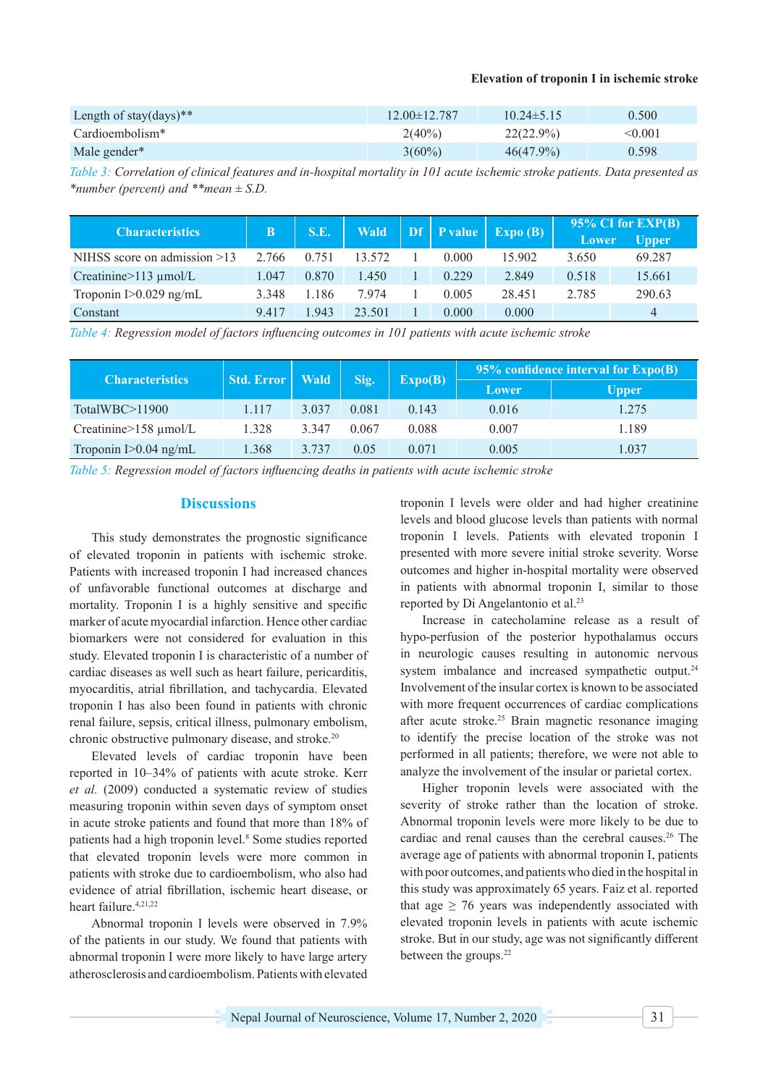#### **Elevation of troponin I in ischemic stroke**

| Length of stay(days)**      | $12.00 \pm 12.787$ | $10.24 \pm 5.15$ | 0.500   |
|-----------------------------|--------------------|------------------|---------|
| Cardioembolism <sup>*</sup> | $2(40\%)$          | $22(22.9\%)$     | < 0.001 |
| Male gender*                | $3(60\%)$          | $46(47.9\%)$     | 0.598   |

*Table 3: Correlation of clinical features and in-hospital mortality in 101 acute ischemic stroke patients. Data presented as \*number (percent) and \*\*mean ± S.D.*

|                                | B     | S.E.  | Wald   | Df | P value | $\mathbf{Expo}(\mathbf{B})$ | 95% CI for $EXP(B)$ |              |
|--------------------------------|-------|-------|--------|----|---------|-----------------------------|---------------------|--------------|
| <b>Characteristics</b>         |       |       |        |    |         |                             | 'Lowen              | <b>Upper</b> |
| NIHSS score on admission $>13$ | 2.766 | 0.751 | 13.572 |    | 0.000   | 15.902                      | 3.650               | 69.287       |
| Creatinine $>113$ µmol/L       | 1.047 | 0.870 | 1.450  |    | 0.229   | 2.849                       | 0.518               | 15.661       |
| Troponin $I>0.029$ ng/mL       | 3.348 | .186  | 7.974  |    | 0.005   | 28.451                      | 2.785               | 290.63       |
| Constant                       | 9.417 | .943  | 23.501 |    | 0.000   | 0.000                       |                     | 4            |

*Table 4: Regression model of factors influencing outcomes in 101 patients with acute ischemic stroke*

| <b>Characteristics</b>   | Std. Error | <b>Wald</b> |       |         | 95% confidence interval for Expo(B) |              |
|--------------------------|------------|-------------|-------|---------|-------------------------------------|--------------|
|                          |            |             | Sig.  | Expo(B) | Lower                               | <b>Upper</b> |
| TotalWBC>11900           | 1.117      | 3.037       | 0.081 | 0.143   | 0.016                               | 1.275        |
| Creatinine $>158$ µmol/L | 1.328      | 3.347       | 0.067 | 0.088   | 0.007                               | 1.189        |
| Troponin $I>0.04$ ng/mL  | 1.368      | 3.737       | 0.05  | 0.071   | 0.005                               | l.037        |

*Table 5: Regression model of factors influencing deaths in patients with acute ischemic stroke*

## **Discussions**

This study demonstrates the prognostic significance of elevated troponin in patients with ischemic stroke. Patients with increased troponin I had increased chances of unfavorable functional outcomes at discharge and mortality. Troponin I is a highly sensitive and specific marker of acute myocardial infarction. Hence other cardiac biomarkers were not considered for evaluation in this study. Elevated troponin I is characteristic of a number of cardiac diseases as well such as heart failure, pericarditis, myocarditis, atrial fibrillation, and tachycardia. Elevated troponin I has also been found in patients with chronic renal failure, sepsis, critical illness, pulmonary embolism, chronic obstructive pulmonary disease, and stroke.<sup>20</sup>

Elevated levels of cardiac troponin have been reported in 10–34% of patients with acute stroke. Kerr *et al.* (2009) conducted a systematic review of studies measuring troponin within seven days of symptom onset in acute stroke patients and found that more than 18% of patients had a high troponin level.<sup>8</sup> Some studies reported that elevated troponin levels were more common in patients with stroke due to cardioembolism, who also had evidence of atrial fibrillation, ischemic heart disease, or heart failure.4,21,22

Abnormal troponin I levels were observed in 7.9% of the patients in our study. We found that patients with abnormal troponin I were more likely to have large artery atherosclerosis and cardioembolism. Patients with elevated troponin I levels were older and had higher creatinine levels and blood glucose levels than patients with normal troponin I levels. Patients with elevated troponin I presented with more severe initial stroke severity. Worse outcomes and higher in-hospital mortality were observed in patients with abnormal troponin I, similar to those reported by Di Angelantonio et al.23

Increase in catecholamine release as a result of hypo-perfusion of the posterior hypothalamus occurs in neurologic causes resulting in autonomic nervous system imbalance and increased sympathetic output.<sup>24</sup> Involvement of the insular cortex is known to be associated with more frequent occurrences of cardiac complications after acute stroke.25 Brain magnetic resonance imaging to identify the precise location of the stroke was not performed in all patients; therefore, we were not able to analyze the involvement of the insular or parietal cortex.

Higher troponin levels were associated with the severity of stroke rather than the location of stroke. Abnormal troponin levels were more likely to be due to cardiac and renal causes than the cerebral causes.26 The average age of patients with abnormal troponin I, patients with poor outcomes, and patients who died in the hospital in this study was approximately 65 years. Faiz et al. reported that age  $\geq$  76 years was independently associated with elevated troponin levels in patients with acute ischemic stroke. But in our study, age was not significantly different between the groups.<sup>22</sup>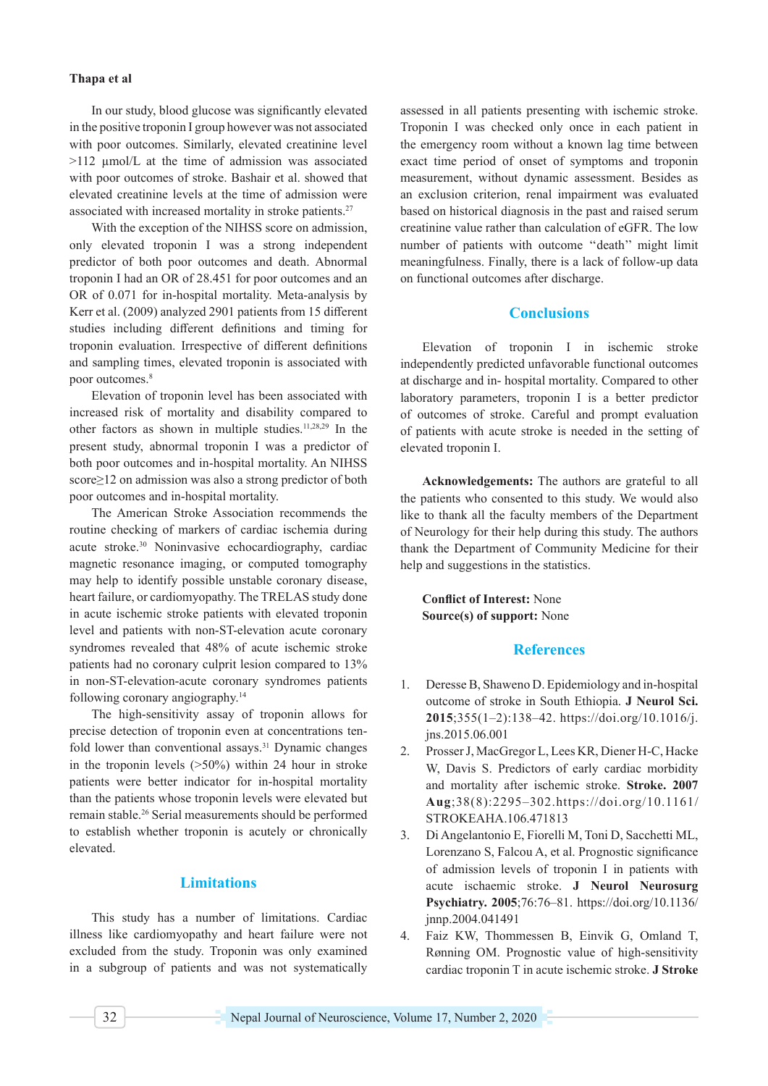In our study, blood glucose was significantly elevated in the positive troponin I group however was not associated with poor outcomes. Similarly, elevated creatinine level >112 µmol/L at the time of admission was associated with poor outcomes of stroke. Bashair et al. showed that elevated creatinine levels at the time of admission were associated with increased mortality in stroke patients.<sup>27</sup>

With the exception of the NIHSS score on admission, only elevated troponin I was a strong independent predictor of both poor outcomes and death. Abnormal troponin I had an OR of 28.451 for poor outcomes and an OR of 0.071 for in-hospital mortality. Meta-analysis by Kerr et al. (2009) analyzed 2901 patients from 15 different studies including different definitions and timing for troponin evaluation. Irrespective of different definitions and sampling times, elevated troponin is associated with poor outcomes.8

Elevation of troponin level has been associated with increased risk of mortality and disability compared to other factors as shown in multiple studies.11,28,29 In the present study, abnormal troponin I was a predictor of both poor outcomes and in-hospital mortality. An NIHSS score≥12 on admission was also a strong predictor of both poor outcomes and in-hospital mortality.

The American Stroke Association recommends the routine checking of markers of cardiac ischemia during acute stroke.30 Noninvasive echocardiography, cardiac magnetic resonance imaging, or computed tomography may help to identify possible unstable coronary disease, heart failure, or cardiomyopathy. The TRELAS study done in acute ischemic stroke patients with elevated troponin level and patients with non-ST-elevation acute coronary syndromes revealed that 48% of acute ischemic stroke patients had no coronary culprit lesion compared to 13% in non-ST-elevation-acute coronary syndromes patients following coronary angiography.14

The high-sensitivity assay of troponin allows for precise detection of troponin even at concentrations tenfold lower than conventional assays.<sup>31</sup> Dynamic changes in the troponin levels (>50%) within 24 hour in stroke patients were better indicator for in-hospital mortality than the patients whose troponin levels were elevated but remain stable.26 Serial measurements should be performed to establish whether troponin is acutely or chronically elevated.

## **Limitations**

This study has a number of limitations. Cardiac illness like cardiomyopathy and heart failure were not excluded from the study. Troponin was only examined in a subgroup of patients and was not systematically assessed in all patients presenting with ischemic stroke. Troponin I was checked only once in each patient in the emergency room without a known lag time between exact time period of onset of symptoms and troponin measurement, without dynamic assessment. Besides as an exclusion criterion, renal impairment was evaluated based on historical diagnosis in the past and raised serum creatinine value rather than calculation of eGFR. The low number of patients with outcome ''death'' might limit meaningfulness. Finally, there is a lack of follow-up data on functional outcomes after discharge.

## **Conclusions**

Elevation of troponin I in ischemic stroke independently predicted unfavorable functional outcomes at discharge and in- hospital mortality. Compared to other laboratory parameters, troponin I is a better predictor of outcomes of stroke. Careful and prompt evaluation of patients with acute stroke is needed in the setting of elevated troponin I.

**Acknowledgements:** The authors are grateful to all the patients who consented to this study. We would also like to thank all the faculty members of the Department of Neurology for their help during this study. The authors thank the Department of Community Medicine for their help and suggestions in the statistics.

**Conflict of Interest:** None **Source(s) of support:** None

#### **References**

- 1. Deresse B, Shaweno D. Epidemiology and in-hospital outcome of stroke in South Ethiopia. **J Neurol Sci. 2015**;355(1–2):138–42..https://doi.org/10.1016/j. jns.2015.06.001
- 2. Prosser J, MacGregor L, Lees KR, Diener H-C, Hacke W, Davis S. Predictors of early cardiac morbidity and mortality after ischemic stroke. **Stroke. 2007 Aug**;38(8):2295–302.https://doi.org/10.1161/ STROKEAHA.106.471813
- 3. Di Angelantonio E, Fiorelli M, Toni D, Sacchetti ML, Lorenzano S, Falcou A, et al. Prognostic significance of admission levels of troponin I in patients with acute ischaemic stroke. **J Neurol Neurosurg Psychiatry. 2005**;76:76–81. https://doi.org/10.1136/ jnnp.2004.041491
- 4. Faiz KW, Thommessen B, Einvik G, Omland T, Rønning OM. Prognostic value of high-sensitivity cardiac troponin T in acute ischemic stroke. **J Stroke**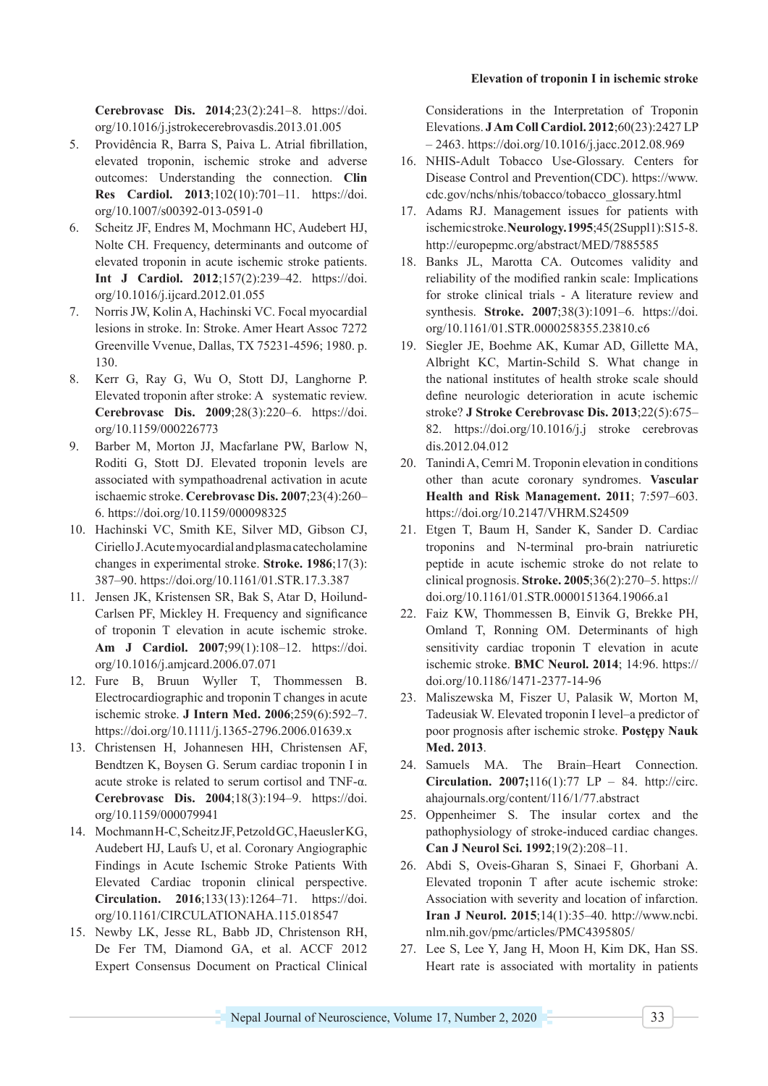**Cerebrovasc Dis. 2014**;23(2):241–8. https://doi. org/10.1016/j.jstrokecerebrovasdis.2013.01.005

- 5. Providência R, Barra S, Paiva L. Atrial fibrillation, elevated troponin, ischemic stroke and adverse outcomes: Understanding the connection. **Clin Res Cardiol. 2013**;102(10):701–11. https://doi. org/10.1007/s00392-013-0591-0
- 6. Scheitz JF, Endres M, Mochmann HC, Audebert HJ, Nolte CH. Frequency, determinants and outcome of elevated troponin in acute ischemic stroke patients. **Int J Cardiol. 2012**;157(2):239–42. https://doi. org/10.1016/j.ijcard.2012.01.055
- 7. Norris JW, Kolin A, Hachinski VC. Focal myocardial lesions in stroke. In: Stroke. Amer Heart Assoc 7272 Greenville Vvenue, Dallas, TX 75231-4596; 1980. p. 130.
- 8. Kerr G, Ray G, Wu O, Stott DJ, Langhorne P. Elevated troponin after stroke: A systematic review. **Cerebrovasc Dis. 2009**;28(3):220–6. https://doi. org/10.1159/000226773
- 9. Barber M, Morton JJ, Macfarlane PW, Barlow N, Roditi G, Stott DJ. Elevated troponin levels are associated with sympathoadrenal activation in acute ischaemic stroke. **Cerebrovasc Dis. 2007**;23(4):260– 6. https://doi.org/10.1159/000098325
- 10. Hachinski VC, Smith KE, Silver MD, Gibson CJ, Ciriello J. Acute myocardial and plasma catecholamine changes in experimental stroke. **Stroke. 1986**;17(3): 387–90. https://doi.org/10.1161/01.STR.17.3.387
- 11. Jensen JK, Kristensen SR, Bak S, Atar D, Hoilund-Carlsen PF, Mickley H. Frequency and significance of troponin T elevation in acute ischemic stroke. **Am J Cardiol. 2007**;99(1):108–12. https://doi. org/10.1016/j.amjcard.2006.07.071
- 12. Fure B, Bruun Wyller T, Thommessen B. Electrocardiographic and troponin T changes in acute ischemic stroke. **J Intern Med. 2006**;259(6):592–7. https://doi.org/10.1111/j.1365-2796.2006.01639.x
- 13. Christensen H, Johannesen HH, Christensen AF, Bendtzen K, Boysen G. Serum cardiac troponin I in acute stroke is related to serum cortisol and TNF-α. **Cerebrovasc Dis. 2004**;18(3):194–9. https://doi. org/10.1159/000079941
- 14. Mochmann H-C, Scheitz JF, Petzold GC, Haeusler KG, Audebert HJ, Laufs U, et al. Coronary Angiographic Findings in Acute Ischemic Stroke Patients With Elevated Cardiac troponin clinical perspective. **Circulation. 2016**;133(13):1264–71. https://doi. org/10.1161/CIRCULATIONAHA.115.018547
- 15. Newby LK, Jesse RL, Babb JD, Christenson RH, De Fer TM, Diamond GA, et al. ACCF 2012 Expert Consensus Document on Practical Clinical

Considerations in the Interpretation of Troponin Elevations. **J Am Coll Cardiol. 2012**;60(23):2427 LP – 2463. https://doi.org/10.1016/j.jacc.2012.08.969

- 16. NHIS-Adult Tobacco Use-Glossary. Centers for Disease Control and Prevention(CDC). https://www. cdc.gov/nchs/nhis/tobacco/tobacco\_glossary.html
- 17. Adams RJ. Management issues for patients with ischemic stroke. **Neurology. 1995**;45(2Suppl1):S15-8. http://europepmc.org/abstract/MED/7885585
- 18. Banks JL, Marotta CA. Outcomes validity and reliability of the modified rankin scale: Implications for stroke clinical trials - A literature review and synthesis. **Stroke. 2007**;38(3):1091–6. https://doi. org/10.1161/01.STR.0000258355.23810.c6
- 19. Siegler JE, Boehme AK, Kumar AD, Gillette MA, Albright KC, Martin-Schild S. What change in the national institutes of health stroke scale should define neurologic deterioration in acute ischemic stroke? **J Stroke Cerebrovasc Dis. 2013**;22(5):675– 82. https://doi.org/10.1016/j.j stroke cerebrovas dis.2012.04.012
- 20. Tanindi A, Cemri M. Troponin elevation in conditions other than acute coronary syndromes. **Vascular Health and Risk Management. 2011**; 7:597–603. https://doi.org/10.2147/VHRM.S24509
- 21. Etgen T, Baum H, Sander K, Sander D. Cardiac troponins and N-terminal pro-brain natriuretic peptide in acute ischemic stroke do not relate to clinical prognosis. **Stroke. 2005**;36(2):270–5. https:// doi.org/10.1161/01.STR.0000151364.19066.a1
- 22. Faiz KW, Thommessen B, Einvik G, Brekke PH, Omland T, Ronning OM. Determinants of high sensitivity cardiac troponin T elevation in acute ischemic stroke. **BMC Neurol. 2014**; 14:96. https:// doi.org/10.1186/1471-2377-14-96
- 23. Maliszewska M, Fiszer U, Palasik W, Morton M, Tadeusiak W. Elevated troponin I level–a predictor of poor prognosis after ischemic stroke. **Postępy Nauk Med. 2013**.
- 24. Samuels MA. The Brain–Heart Connection. **Circulation. 2007;**116(1):77 LP – 84. http://circ. ahajournals.org/content/116/1/77.abstract
- 25. Oppenheimer S. The insular cortex and the pathophysiology of stroke-induced cardiac changes. **Can J Neurol Sci. 1992**;19(2):208–11.
- 26. Abdi S, Oveis-Gharan S, Sinaei F, Ghorbani A. Elevated troponin T after acute ischemic stroke: Association with severity and location of infarction. **Iran J Neurol. 2015**;14(1):35–40. http://www.ncbi. nlm.nih.gov/pmc/articles/PMC4395805/
- 27. Lee S, Lee Y, Jang H, Moon H, Kim DK, Han SS. Heart rate is associated with mortality in patients